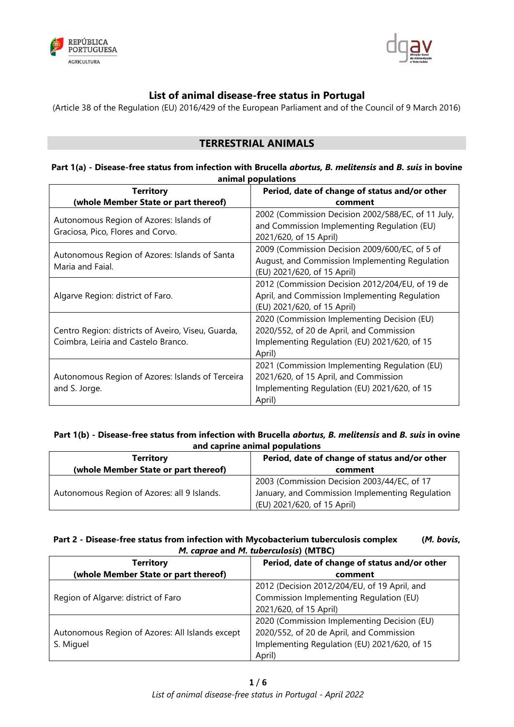



# **List of animal disease-free status in Portugal**

(Article 38 of the Regulation (EU) 2016/429 of the European Parliament and of the Council of 9 March 2016)

# **TERRESTRIAL ANIMALS**

### **Part 1(a) - Disease-free status from infection with Brucella** *abortus, B. melitensis* **and** *B. suis* **in bovine animal populations**

| <b>Territory</b>                                                                          | Period, date of change of status and/or other                                                                                                     |
|-------------------------------------------------------------------------------------------|---------------------------------------------------------------------------------------------------------------------------------------------------|
| (whole Member State or part thereof)                                                      | comment                                                                                                                                           |
| Autonomous Region of Azores: Islands of<br>Graciosa, Pico, Flores and Corvo.              | 2002 (Commission Decision 2002/588/EC, of 11 July,<br>and Commission Implementing Regulation (EU)<br>2021/620, of 15 April)                       |
| Autonomous Region of Azores: Islands of Santa<br>Maria and Faial.                         | 2009 (Commission Decision 2009/600/EC, of 5 of<br>August, and Commission Implementing Regulation<br>(EU) 2021/620, of 15 April)                   |
| Algarve Region: district of Faro.                                                         | 2012 (Commission Decision 2012/204/EU, of 19 de<br>April, and Commission Implementing Regulation<br>(EU) 2021/620, of 15 April)                   |
| Centro Region: districts of Aveiro, Viseu, Guarda,<br>Coimbra, Leiria and Castelo Branco. | 2020 (Commission Implementing Decision (EU)<br>2020/552, of 20 de April, and Commission<br>Implementing Regulation (EU) 2021/620, of 15<br>April) |
| Autonomous Region of Azores: Islands of Terceira<br>and S. Jorge.                         | 2021 (Commission Implementing Regulation (EU)<br>2021/620, of 15 April, and Commission<br>Implementing Regulation (EU) 2021/620, of 15<br>April)  |

## **Part 1(b) - Disease-free status from infection with Brucella** *abortus, B. melitensis* **and** *B. suis* **in ovine and caprine animal populations**

| <b>Territory</b><br>(whole Member State or part thereof) | Period, date of change of status and/or other<br>comment |
|----------------------------------------------------------|----------------------------------------------------------|
| Autonomous Region of Azores: all 9 Islands.              | 2003 (Commission Decision 2003/44/EC, of 17              |
|                                                          | January, and Commission Implementing Regulation          |
|                                                          | (EU) 2021/620, of 15 April)                              |

## **Part 2 - Disease-free status from infection with Mycobacterium tuberculosis complex (***M. bovis***,**  *M. caprae* **and** *M. tuberculosis***) (MTBC)**

| <b>Territory</b>                                             | Period, date of change of status and/or other |
|--------------------------------------------------------------|-----------------------------------------------|
| (whole Member State or part thereof)                         | comment                                       |
| Region of Algarve: district of Faro                          | 2012 (Decision 2012/204/EU, of 19 April, and  |
|                                                              | Commission Implementing Regulation (EU)       |
|                                                              | 2021/620, of 15 April)                        |
| Autonomous Region of Azores: All Islands except<br>S. Miguel | 2020 (Commission Implementing Decision (EU)   |
|                                                              | 2020/552, of 20 de April, and Commission      |
|                                                              | Implementing Regulation (EU) 2021/620, of 15  |
|                                                              | April)                                        |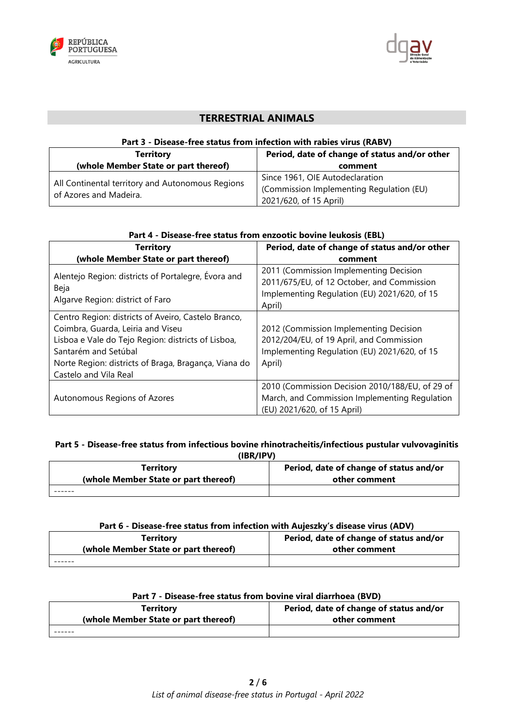



# **TERRESTRIAL ANIMALS**

## **Part 3 - Disease-free status from infection with rabies virus (RABV)**

| <b>Territory</b>                                                           | Period, date of change of status and/or other                               |
|----------------------------------------------------------------------------|-----------------------------------------------------------------------------|
| (whole Member State or part thereof)                                       | comment                                                                     |
| All Continental territory and Autonomous Regions<br>of Azores and Madeira. | Since 1961, OIE Autodeclaration<br>(Commission Implementing Regulation (EU) |
|                                                                            | 2021/620, of 15 April)                                                      |

| Part 4 - Disease-free status from enzootic bovine leukosis (EBL)                                                                                                                                                                                        |                                                                                                                                                |
|---------------------------------------------------------------------------------------------------------------------------------------------------------------------------------------------------------------------------------------------------------|------------------------------------------------------------------------------------------------------------------------------------------------|
| <b>Territory</b>                                                                                                                                                                                                                                        | Period, date of change of status and/or other                                                                                                  |
| (whole Member State or part thereof)                                                                                                                                                                                                                    | comment                                                                                                                                        |
| Alentejo Region: districts of Portalegre, Évora and<br>Beja<br>Algarve Region: district of Faro                                                                                                                                                         | 2011 (Commission Implementing Decision<br>2011/675/EU, of 12 October, and Commission<br>Implementing Regulation (EU) 2021/620, of 15<br>April) |
| Centro Region: districts of Aveiro, Castelo Branco,<br>Coimbra, Guarda, Leiria and Viseu<br>Lisboa e Vale do Tejo Region: districts of Lisboa,<br>Santarém and Setúbal<br>Norte Region: districts of Braga, Bragança, Viana do<br>Castelo and Vila Real | 2012 (Commission Implementing Decision<br>2012/204/EU, of 19 April, and Commission<br>Implementing Regulation (EU) 2021/620, of 15<br>April)   |
| Autonomous Regions of Azores                                                                                                                                                                                                                            | 2010 (Commission Decision 2010/188/EU, of 29 of<br>March, and Commission Implementing Regulation<br>(EU) 2021/620, of 15 April)                |

## **Part 5 - Disease-free status from infectious bovine rhinotracheitis/infectious pustular vulvovaginitis**

| (IBR/IPV)                            |                                         |
|--------------------------------------|-----------------------------------------|
| <b>Territory</b>                     | Period, date of change of status and/or |
| (whole Member State or part thereof) | other comment                           |
|                                      |                                         |

### **Part 6 - Disease-free status from infection with Aujeszky's disease virus (ADV)**

| Territory                            | Period, date of change of status and/or |
|--------------------------------------|-----------------------------------------|
| (whole Member State or part thereof) | other comment                           |
|                                      |                                         |

| Part 7 - Disease-free status from bovine viral diarrhoea (BVD) |                                         |
|----------------------------------------------------------------|-----------------------------------------|
| <b>Territory</b>                                               | Period, date of change of status and/or |
| (whole Member State or part thereof)                           | other comment                           |
|                                                                |                                         |

## **Part 7 - Disease-free status from bovine viral diarrhoea (BVD)**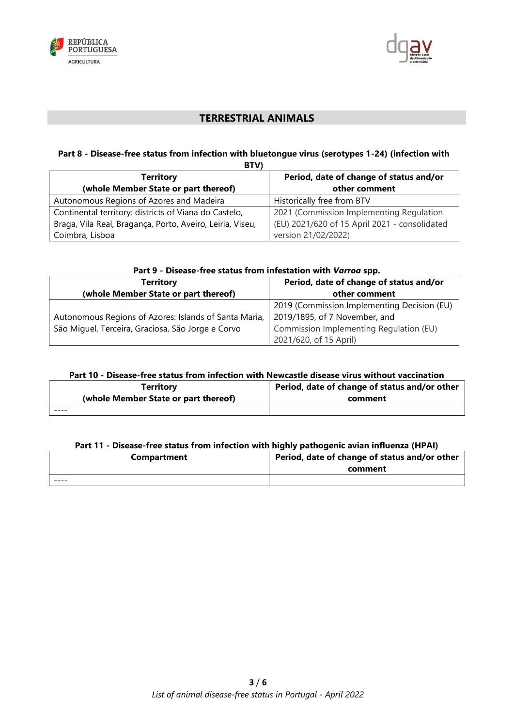



# **TERRESTRIAL ANIMALS**

#### **Part 8 - Disease-free status from infection with bluetongue virus (serotypes 1-24) (infection with BTV)**

| <u>. טוט</u>                                              |                                               |
|-----------------------------------------------------------|-----------------------------------------------|
| <b>Territory</b>                                          | Period, date of change of status and/or       |
| (whole Member State or part thereof)                      | other comment                                 |
| Autonomous Regions of Azores and Madeira                  | Historically free from BTV                    |
| Continental territory: districts of Viana do Castelo,     | 2021 (Commission Implementing Regulation      |
| Braga, Vila Real, Bragança, Porto, Aveiro, Leiria, Viseu, | (EU) 2021/620 of 15 April 2021 - consolidated |
| Coimbra, Lisboa                                           | version 21/02/2022)                           |

| Part 9 - Disease-free status from infestation with Varroa spp. |                                             |
|----------------------------------------------------------------|---------------------------------------------|
| <b>Territory</b>                                               | Period, date of change of status and/or     |
| (whole Member State or part thereof)                           | other comment                               |
|                                                                | 2019 (Commission Implementing Decision (EU) |
| Autonomous Regions of Azores: Islands of Santa Maria,          | 2019/1895, of 7 November, and               |
| São Miguel, Terceira, Graciosa, São Jorge e Corvo              | Commission Implementing Regulation (EU)     |
|                                                                | 2021/620, of 15 April)                      |

## **Part 10 - Disease-free status from infection with Newcastle disease virus without vaccination**

| Territory                            | Period, date of change of status and/or other |
|--------------------------------------|-----------------------------------------------|
| (whole Member State or part thereof) | comment                                       |
|                                      |                                               |

#### **Part 11 - Disease-free status from infection with highly pathogenic avian influenza (HPAI)**

| Compartment | Period, date of change of status and/or other<br>comment |
|-------------|----------------------------------------------------------|
| ----        |                                                          |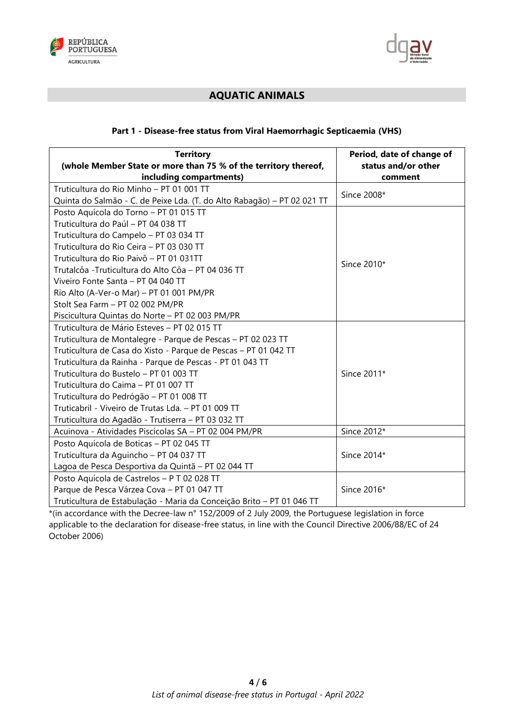



# **AQUATIC ANIMALS**

## **Part 1 - Disease-free status from Viral Haemorrhagic Septicaemia (VHS)**

| <b>Territory</b><br>(whole Member State or more than 75 % of the territory thereof,                                                                                                                                                                                                                                                                                                                                                                                                   | Period, date of change of<br>status and/or other |
|---------------------------------------------------------------------------------------------------------------------------------------------------------------------------------------------------------------------------------------------------------------------------------------------------------------------------------------------------------------------------------------------------------------------------------------------------------------------------------------|--------------------------------------------------|
| including compartments)                                                                                                                                                                                                                                                                                                                                                                                                                                                               | comment                                          |
| Truticultura do Rio Minho - PT 01 001 TT<br>Quinta do Salmão - C. de Peixe Lda. (T. do Alto Rabagão) - PT 02 021 TT                                                                                                                                                                                                                                                                                                                                                                   | Since 2008*                                      |
| Posto Aquícola do Torno - PT 01 015 TT<br>Truticultura do Paúl - PT 04 038 TT<br>Truticultura do Campelo - PT 03 034 TT<br>Truticultura do Rio Ceira - PT 03 030 TT<br>Truticultura do Rio Paivô - PT 01 031TT<br>Trutalcôa - Truticultura do Alto Côa - PT 04 036 TT<br>Viveiro Fonte Santa - PT 04 040 TT<br>Rio Alto (A-Ver-o Mar) - PT 01 001 PM/PR<br>Stolt Sea Farm - PT 02 002 PM/PR<br>Piscicultura Quintas do Norte - PT 02 003 PM/PR                                        | Since 2010*                                      |
| Truticultura de Mário Esteves - PT 02 015 TT<br>Truticultura de Montalegre - Parque de Pescas - PT 02 023 TT<br>Truticultura de Casa do Xisto - Parque de Pescas - PT 01 042 TT<br>Truticultura da Rainha - Parque de Pescas - PT 01 043 TT<br>Truticultura do Bustelo - PT 01 003 TT<br>Truticultura do Caima - PT 01 007 TT<br>Truticultura do Pedrógão - PT 01 008 TT<br>Truticabril - Viveiro de Trutas Lda. - PT 01 009 TT<br>Truticultura do Agadão - Trutiserra - PT 03 032 TT | Since 2011*                                      |
| Acuinova - Atividades Piscícolas SA - PT 02 004 PM/PR                                                                                                                                                                                                                                                                                                                                                                                                                                 | Since 2012*                                      |
| Posto Aquícola de Boticas - PT 02 045 TT<br>Truticultura da Aguincho - PT 04 037 TT<br>Lagoa de Pesca Desportiva da Quintã - PT 02 044 TT                                                                                                                                                                                                                                                                                                                                             | Since 2014*                                      |
| Posto Aquícola de Castrelos - P T 02 028 TT<br>Parque de Pesca Várzea Cova - PT 01 047 TT<br>Truticultura de Estabulação - Maria da Conceição Brito - PT 01 046 TT                                                                                                                                                                                                                                                                                                                    | Since 2016*                                      |

\*(in accordance with the Decree-law n° 152/2009 of 2 July 2009, the Portuguese legislation in force applicable to the declaration for disease-free status, in line with the Council Directive 2006/88/EC of 24 October 2006)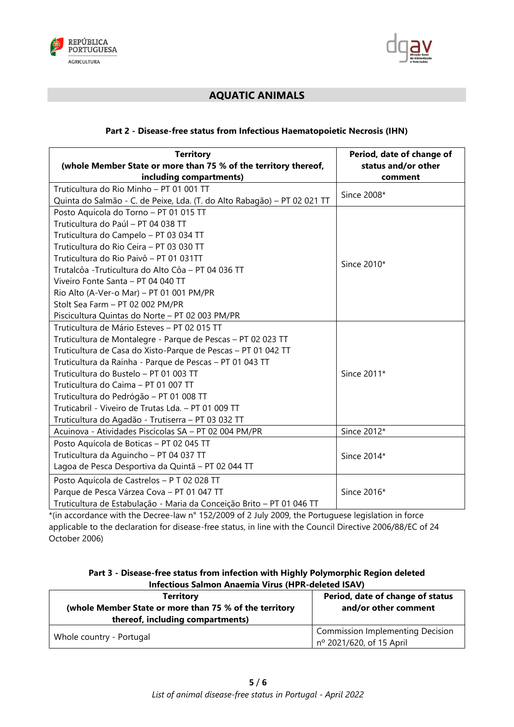



# **AQUATIC ANIMALS**

## **Part 2 - Disease-free status from Infectious Haematopoietic Necrosis (IHN)**

| <b>Territory</b><br>(whole Member State or more than 75 % of the territory thereof,            | Period, date of change of<br>status and/or other |
|------------------------------------------------------------------------------------------------|--------------------------------------------------|
| including compartments)                                                                        | comment                                          |
| Truticultura do Rio Minho - PT 01 001 TT                                                       | Since 2008*                                      |
| Quinta do Salmão - C. de Peixe, Lda. (T. do Alto Rabagão) - PT 02 021 TT                       |                                                  |
| Posto Aquícola do Torno - PT 01 015 TT<br>Truticultura do Paúl - PT 04 038 TT                  |                                                  |
|                                                                                                |                                                  |
| Truticultura do Campelo - PT 03 034 TT                                                         |                                                  |
| Truticultura do Rio Ceira - PT 03 030 TT                                                       |                                                  |
| Truticultura do Rio Paivô - PT 01 031TT<br>Trutalcôa - Truticultura do Alto Côa - PT 04 036 TT | Since 2010*                                      |
|                                                                                                |                                                  |
| Viveiro Fonte Santa - PT 04 040 TT                                                             |                                                  |
| Rio Alto (A-Ver-o Mar) - PT 01 001 PM/PR                                                       |                                                  |
| Stolt Sea Farm - PT 02 002 PM/PR                                                               |                                                  |
| Piscicultura Quintas do Norte - PT 02 003 PM/PR                                                |                                                  |
| Truticultura de Mário Esteves - PT 02 015 TT                                                   |                                                  |
| Truticultura de Montalegre - Parque de Pescas - PT 02 023 TT                                   |                                                  |
| Truticultura de Casa do Xisto-Parque de Pescas - PT 01 042 TT                                  |                                                  |
| Truticultura da Raínha - Parque de Pescas - PT 01 043 TT                                       |                                                  |
| Truticultura do Bustelo - PT 01 003 TT                                                         | Since 2011*                                      |
| Truticultura do Caima - PT 01 007 TT                                                           |                                                  |
| Truticultura do Pedrógão - PT 01 008 TT                                                        |                                                  |
| Truticabril - Viveiro de Trutas Lda. - PT 01 009 TT                                            |                                                  |
| Truticultura do Agadão - Trutiserra - PT 03 032 TT                                             |                                                  |
| Acuinova - Atividades Piscícolas SA - PT 02 004 PM/PR                                          | Since 2012*                                      |
| Posto Aquícola de Boticas - PT 02 045 TT                                                       |                                                  |
| Truticultura da Aguincho - PT 04 037 TT                                                        | Since 2014*                                      |
| Lagoa de Pesca Desportiva da Quintã - PT 02 044 TT                                             |                                                  |
| Posto Aquícola de Castrelos - P T 02 028 TT                                                    |                                                  |
| Parque de Pesca Várzea Cova - PT 01 047 TT                                                     | Since 2016*                                      |
| Truticultura de Estabulação - Maria da Conceição Brito - PT 01 046 TT                          |                                                  |

\*(in accordance with the Decree-law n° 152/2009 of 2 July 2009, the Portuguese legislation in force applicable to the declaration for disease-free status, in line with the Council Directive 2006/88/EC of 24 October 2006)

| Part 3 - Disease-free status from infection with Highly Polymorphic Region deleted |  |
|------------------------------------------------------------------------------------|--|
| <b>Infectious Salmon Anaemia Virus (HPR-deleted ISAV)</b>                          |  |

| <b>Territory</b><br>(whole Member State or more than 75 % of the territory<br>thereof, including compartments) | Period, date of change of status<br>and/or other comment            |
|----------------------------------------------------------------------------------------------------------------|---------------------------------------------------------------------|
| Whole country - Portugal                                                                                       | <b>Commission Implementing Decision</b><br>nº 2021/620, of 15 April |